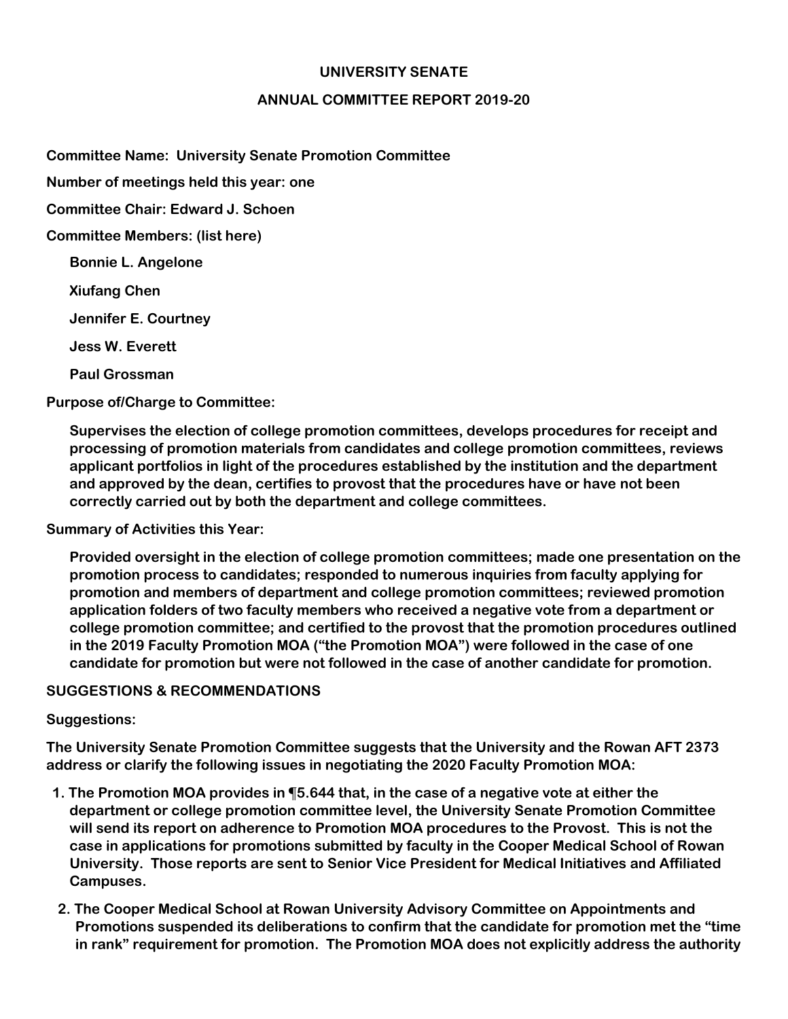## **UNIVERSITY SENATE**

## **ANNUAL COMMITTEE REPORT 2019-20**

**Committee Name: University Senate Promotion Committee**

**Number of meetings held this year: one**

**Committee Chair: Edward J. Schoen**

**Committee Members: (list here)** 

**Bonnie L. Angelone**

**Xiufang Chen**

**Jennifer E. Courtney**

**Jess W. Everett**

**Paul Grossman**

**Purpose of/Charge to Committee:** 

**Supervises the election of college promotion committees, develops procedures for receipt and processing of promotion materials from candidates and college promotion committees, reviews applicant portfolios in light of the procedures established by the institution and the department and approved by the dean, certifies to provost that the procedures have or have not been correctly carried out by both the department and college committees.**

**Summary of Activities this Year:** 

**Provided oversight in the election of college promotion committees; made one presentation on the promotion process to candidates; responded to numerous inquiries from faculty applying for promotion and members of department and college promotion committees; reviewed promotion application folders of two faculty members who received a negative vote from a department or college promotion committee; and certified to the provost that the promotion procedures outlined in the 2019 Faculty Promotion MOA ("the Promotion MOA") were followed in the case of one candidate for promotion but were not followed in the case of another candidate for promotion.**

## **SUGGESTIONS & RECOMMENDATIONS**

## **Suggestions:**

**The University Senate Promotion Committee suggests that the University and the Rowan AFT 2373 address or clarify the following issues in negotiating the 2020 Faculty Promotion MOA:**

- **1. The Promotion MOA provides in ¶5.644 that, in the case of a negative vote at either the department or college promotion committee level, the University Senate Promotion Committee will send its report on adherence to Promotion MOA procedures to the Provost. This is not the case in applications for promotions submitted by faculty in the Cooper Medical School of Rowan University. Those reports are sent to Senior Vice President for Medical Initiatives and Affiliated Campuses.**
- **2. The Cooper Medical School at Rowan University Advisory Committee on Appointments and Promotions suspended its deliberations to confirm that the candidate for promotion met the "time in rank" requirement for promotion. The Promotion MOA does not explicitly address the authority**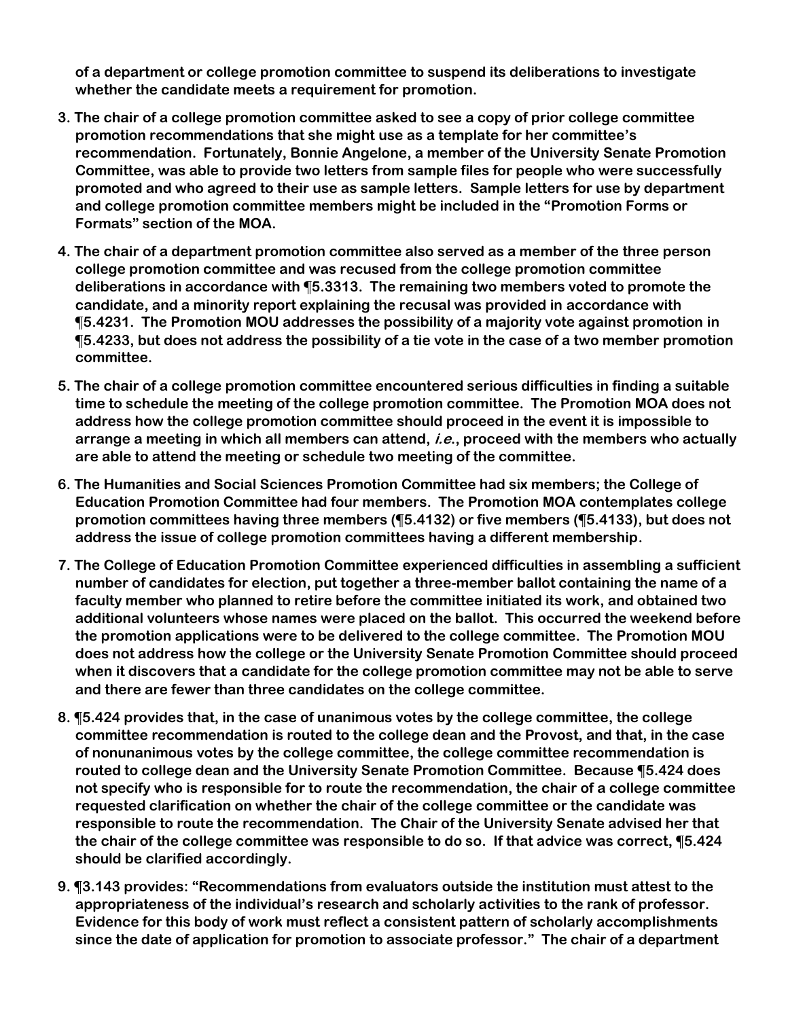**of a department or college promotion committee to suspend its deliberations to investigate whether the candidate meets a requirement for promotion.**

- **3. The chair of a college promotion committee asked to see a copy of prior college committee promotion recommendations that she might use as a template for her committee's recommendation. Fortunately, Bonnie Angelone, a member of the University Senate Promotion Committee, was able to provide two letters from sample files for people who were successfully promoted and who agreed to their use as sample letters. Sample letters for use by department and college promotion committee members might be included in the "Promotion Forms or Formats" section of the MOA.**
- **4. The chair of a department promotion committee also served as a member of the three person college promotion committee and was recused from the college promotion committee deliberations in accordance with ¶5.3313. The remaining two members voted to promote the candidate, and a minority report explaining the recusal was provided in accordance with ¶5.4231. The Promotion MOU addresses the possibility of a majority vote against promotion in ¶5.4233, but does not address the possibility of a tie vote in the case of a two member promotion committee.**
- **5. The chair of a college promotion committee encountered serious difficulties in finding a suitable time to schedule the meeting of the college promotion committee. The Promotion MOA does not address how the college promotion committee should proceed in the event it is impossible to arrange a meeting in which all members can attend, i.e., proceed with the members who actually are able to attend the meeting or schedule two meeting of the committee.**
- **6. The Humanities and Social Sciences Promotion Committee had six members; the College of Education Promotion Committee had four members. The Promotion MOA contemplates college promotion committees having three members (¶5.4132) or five members (¶5.4133), but does not address the issue of college promotion committees having a different membership.**
- **7. The College of Education Promotion Committee experienced difficulties in assembling a sufficient number of candidates for election, put together a three-member ballot containing the name of a faculty member who planned to retire before the committee initiated its work, and obtained two additional volunteers whose names were placed on the ballot. This occurred the weekend before the promotion applications were to be delivered to the college committee. The Promotion MOU does not address how the college or the University Senate Promotion Committee should proceed when it discovers that a candidate for the college promotion committee may not be able to serve and there are fewer than three candidates on the college committee.**
- **8. ¶5.424 provides that, in the case of unanimous votes by the college committee, the college committee recommendation is routed to the college dean and the Provost, and that, in the case of nonunanimous votes by the college committee, the college committee recommendation is routed to college dean and the University Senate Promotion Committee. Because ¶5.424 does not specify who is responsible for to route the recommendation, the chair of a college committee requested clarification on whether the chair of the college committee or the candidate was responsible to route the recommendation. The Chair of the University Senate advised her that the chair of the college committee was responsible to do so. If that advice was correct, ¶5.424 should be clarified accordingly.**
- **9. ¶3.143 provides: "Recommendations from evaluators outside the institution must attest to the appropriateness of the individual's research and scholarly activities to the rank of professor. Evidence for this body of work must reflect a consistent pattern of scholarly accomplishments since the date of application for promotion to associate professor." The chair of a department**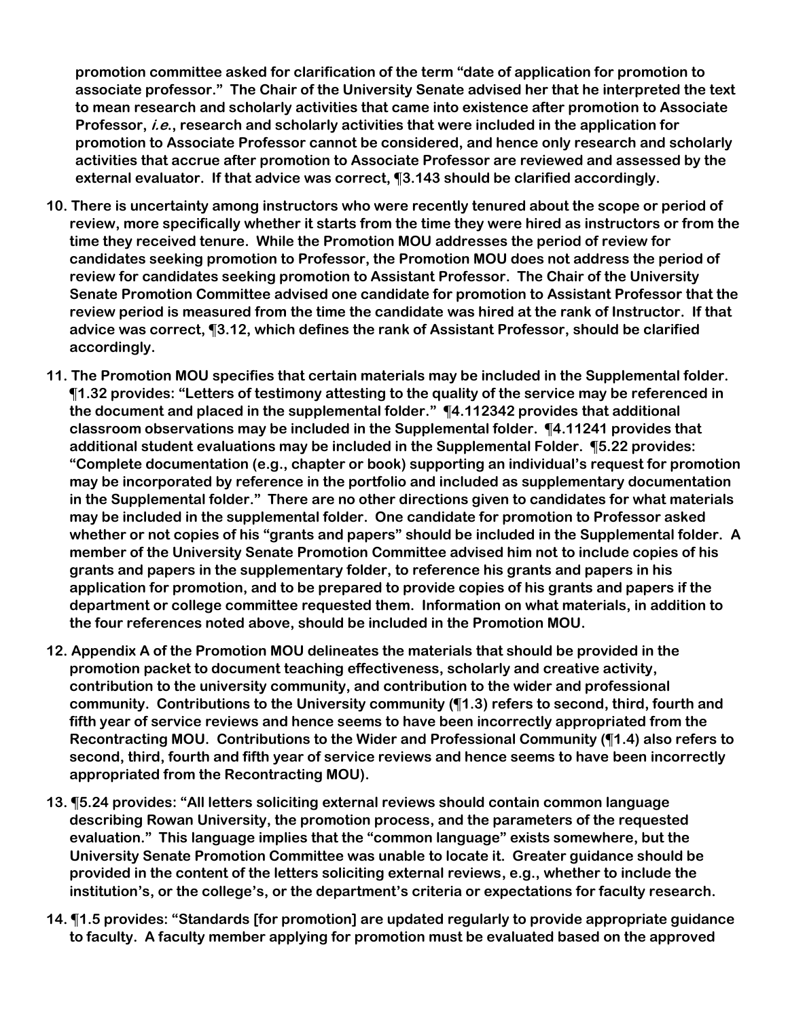**promotion committee asked for clarification of the term "date of application for promotion to associate professor." The Chair of the University Senate advised her that he interpreted the text to mean research and scholarly activities that came into existence after promotion to Associate Professor, i.e., research and scholarly activities that were included in the application for promotion to Associate Professor cannot be considered, and hence only research and scholarly activities that accrue after promotion to Associate Professor are reviewed and assessed by the external evaluator. If that advice was correct, ¶3.143 should be clarified accordingly.**

- **10. There is uncertainty among instructors who were recently tenured about the scope or period of review, more specifically whether it starts from the time they were hired as instructors or from the time they received tenure. While the Promotion MOU addresses the period of review for candidates seeking promotion to Professor, the Promotion MOU does not address the period of review for candidates seeking promotion to Assistant Professor. The Chair of the University Senate Promotion Committee advised one candidate for promotion to Assistant Professor that the review period is measured from the time the candidate was hired at the rank of Instructor. If that advice was correct, ¶3.12, which defines the rank of Assistant Professor, should be clarified accordingly.**
- **11. The Promotion MOU specifies that certain materials may be included in the Supplemental folder. ¶1.32 provides: "Letters of testimony attesting to the quality of the service may be referenced in the document and placed in the supplemental folder." ¶4.112342 provides that additional classroom observations may be included in the Supplemental folder. ¶4.11241 provides that additional student evaluations may be included in the Supplemental Folder. ¶5.22 provides: "Complete documentation (e.g., chapter or book) supporting an individual's request for promotion may be incorporated by reference in the portfolio and included as supplementary documentation in the Supplemental folder." There are no other directions given to candidates for what materials may be included in the supplemental folder. One candidate for promotion to Professor asked whether or not copies of his "grants and papers" should be included in the Supplemental folder. A member of the University Senate Promotion Committee advised him not to include copies of his grants and papers in the supplementary folder, to reference his grants and papers in his application for promotion, and to be prepared to provide copies of his grants and papers if the department or college committee requested them. Information on what materials, in addition to the four references noted above, should be included in the Promotion MOU.**
- **12. Appendix A of the Promotion MOU delineates the materials that should be provided in the promotion packet to document teaching effectiveness, scholarly and creative activity, contribution to the university community, and contribution to the wider and professional community. Contributions to the University community (¶1.3) refers to second, third, fourth and fifth year of service reviews and hence seems to have been incorrectly appropriated from the Recontracting MOU. Contributions to the Wider and Professional Community (¶1.4) also refers to second, third, fourth and fifth year of service reviews and hence seems to have been incorrectly appropriated from the Recontracting MOU).**
- **13. ¶5.24 provides: "All letters soliciting external reviews should contain common language describing Rowan University, the promotion process, and the parameters of the requested evaluation." This language implies that the "common language" exists somewhere, but the University Senate Promotion Committee was unable to locate it. Greater guidance should be provided in the content of the letters soliciting external reviews, e.g., whether to include the institution's, or the college's, or the department's criteria or expectations for faculty research.**
- **14. ¶1.5 provides: "Standards [for promotion] are updated regularly to provide appropriate guidance to faculty. A faculty member applying for promotion must be evaluated based on the approved**